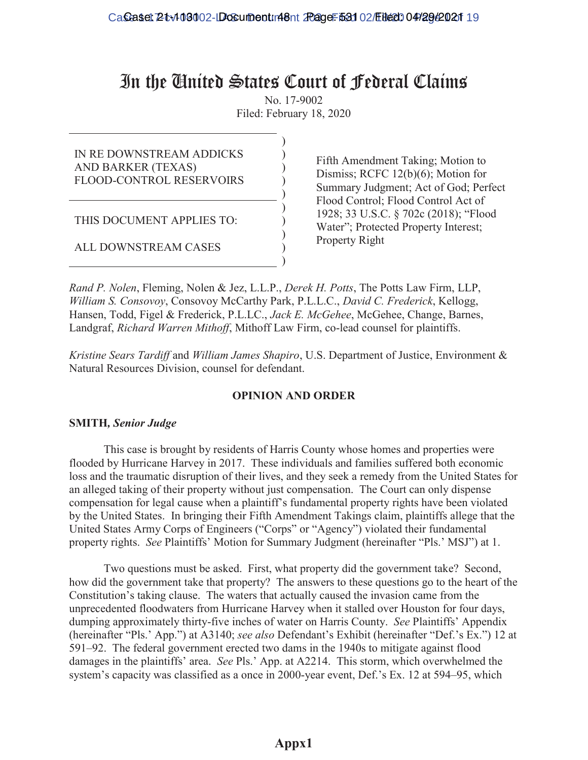# In the United States Court of Federal Claims

No. 17-9002 Filed: February 18, 2020

> ) ) ) ) )

> ) ) ) ) )

IN RE DOWNSTREAM ADDICKS AND BARKER (TEXAS) FLOOD-CONTROL RESERVOIRS

THIS DOCUMENT APPLIES TO:

ALL DOWNSTREAM CASES

Fifth Amendment Taking; Motion to Dismiss; RCFC 12(b)(6); Motion for Summary Judgment; Act of God; Perfect Flood Control; Flood Control Act of 1928; 33 U.S.C. § 702c (2018); "Flood Water"; Protected Property Interest; Property Right

*Rand P. Nolen*, Fleming, Nolen & Jez, L.L.P., *Derek H. Potts*, The Potts Law Firm, LLP, *William S. Consovoy*, Consovoy McCarthy Park, P.L.L.C., *David C. Frederick*, Kellogg, Hansen, Todd, Figel & Frederick, P.L.LC., *Jack E. McGehee*, McGehee, Change, Barnes, Landgraf, *Richard Warren Mithoff*, Mithoff Law Firm, co-lead counsel for plaintiffs.

*Kristine Sears Tardiff* and *William James Shapiro*, U.S. Department of Justice, Environment & Natural Resources Division, counsel for defendant.

# **OPINION AND ORDER**

# **SMITH***, Senior Judge*

This case is brought by residents of Harris County whose homes and properties were flooded by Hurricane Harvey in 2017. These individuals and families suffered both economic loss and the traumatic disruption of their lives, and they seek a remedy from the United States for an alleged taking of their property without just compensation. The Court can only dispense compensation for legal cause when a plaintiff's fundamental property rights have been violated by the United States. In bringing their Fifth Amendment Takings claim, plaintiffs allege that the United States Army Corps of Engineers ("Corps" or "Agency") violated their fundamental property rights. *See* Plaintiffs' Motion for Summary Judgment (hereinafter "Pls.' MSJ") at 1.

Two questions must be asked. First, what property did the government take? Second, how did the government take that property? The answers to these questions go to the heart of the Constitution's taking clause. The waters that actually caused the invasion came from the unprecedented floodwaters from Hurricane Harvey when it stalled over Houston for four days, dumping approximately thirty-five inches of water on Harris County. *See Plaintiffs'* Appendix (hereinafter "Pls.' App.") at A3140; see also Defendant's Exhibit (hereinafter "Def.'s Ex.") 12 at  $591-92$ . The federal government erected two dams in the 1940s to mitigate against flood damages in the plaintiffs' area. See Pls.' App. at A2214. This storm, which overwhelmed the system's capacity was classified as a once in 2000-year event, Def.'s Ex. 12 at 594–95, which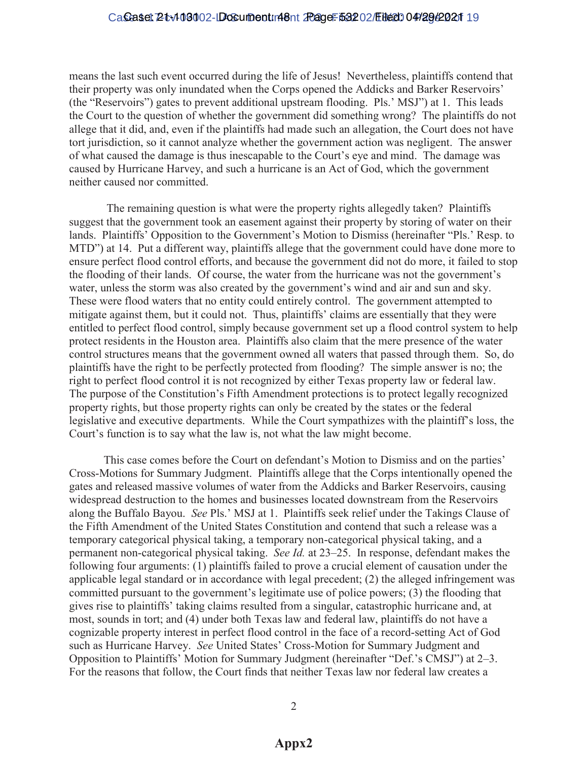# Caseset 2tv103002-LDosument: 48nt 20age: 53202/Eited: 04/2962021 19

means the last such event occurred during the life of Jesus! Nevertheless, plaintiffs contend that their property was only inundated when the Corps opened the Addicks and Barker Reservoirs' (the "Reservoirs") gates to prevent additional upstream flooding.  $Pls$ .  $MSJ'$ ) at 1. This leads the Court to the question of whether the government did something wrong? The plaintiffs do not allege that it did, and, even if the plaintiffs had made such an allegation, the Court does not have tort jurisdiction, so it cannot analyze whether the government action was negligent. The answer of what caused the damage is thus inescapable to the Court's eye and mind. The damage was caused by Hurricane Harvey, and such a hurricane is an Act of God, which the government neither caused nor committed.

The remaining question is what were the property rights allegedly taken? Plaintiffs suggest that the government took an easement against their property by storing of water on their lands. Plaintiffs' Opposition to the Government's Motion to Dismiss (hereinafter "Pls.' Resp. to MTD") at 14. Put a different way, plaintiffs allege that the government could have done more to ensure perfect flood control efforts, and because the government did not do more, it failed to stop the flooding of their lands. Of course, the water from the hurricane was not the government's water, unless the storm was also created by the government's wind and air and sun and sky. These were flood waters that no entity could entirely control. The government attempted to mitigate against them, but it could not. Thus, plaintiffs' claims are essentially that they were entitled to perfect flood control, simply because government set up a flood control system to help protect residents in the Houston area. Plaintiffs also claim that the mere presence of the water control structures means that the government owned all waters that passed through them. So, do plaintiffs have the right to be perfectly protected from flooding? The simple answer is no; the right to perfect flood control it is not recognized by either Texas property law or federal law. The purpose of the Constitution's Fifth Amendment protections is to protect legally recognized property rights, but those property rights can only be created by the states or the federal legislative and executive departments. While the Court sympathizes with the plaintiff's loss, the Court's function is to say what the law is, not what the law might become.

This case comes before the Court on defendant's Motion to Dismiss and on the parties' Cross-Motions for Summary Judgment. Plaintiffs allege that the Corps intentionally opened the gates and released massive volumes of water from the Addicks and Barker Reservoirs, causing widespread destruction to the homes and businesses located downstream from the Reservoirs along the Buffalo Bayou. *See* Pls.' MSJ at 1. Plaintiffs seek relief under the Takings Clause of the Fifth Amendment of the United States Constitution and contend that such a release was a temporary categorical physical taking, a temporary non-categorical physical taking, and a permanent non-categorical physical taking. *See Id.* at 23–25. In response, defendant makes the following four arguments: (1) plaintiffs failed to prove a crucial element of causation under the applicable legal standard or in accordance with legal precedent; (2) the alleged infringement was committed pursuant to the government's legitimate use of police powers; (3) the flooding that gives rise to plaintiffs' taking claims resulted from a singular, catastrophic hurricane and, at most, sounds in tort; and (4) under both Texas law and federal law, plaintiffs do not have a cognizable property interest in perfect flood control in the face of a record-setting Act of God such as Hurricane Harvey. *See* United States' Cross-Motion for Summary Judgment and Opposition to Plaintiffs' Motion for Summary Judgment (hereinafter "Def.'s CMSJ") at  $2-3$ . For the reasons that follow, the Court finds that neither Texas law nor federal law creates a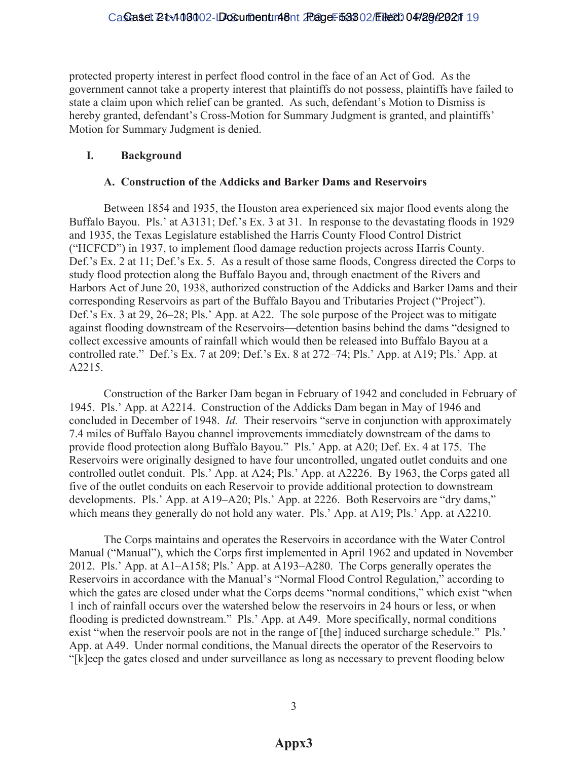protected property interest in perfect flood control in the face of an Act of God. As the government cannot take a property interest that plaintiffs do not possess, plaintiffs have failed to state a claim upon which relief can be granted. As such, defendant's Motion to Dismiss is hereby granted, defendant's Cross-Motion for Summary Judgment is granted, and plaintiffs' Motion for Summary Judgment is denied.

# **I. Background**

#### **A. Construction of the Addicks and Barker Dams and Reservoirs**

Between 1854 and 1935, the Houston area experienced six major flood events along the Buffalo Bayou. Pls.' at A3131; Def.'s Ex. 3 at 31. In response to the devastating floods in 1929 and 1935, the Texas Legislature established the Harris County Flood Control District ("HCFCD") in 1937, to implement flood damage reduction projects across Harris County. Def.'s Ex. 2 at 11; Def.'s Ex. 5. As a result of those same floods, Congress directed the Corps to study flood protection along the Buffalo Bayou and, through enactment of the Rivers and Harbors Act of June 20, 1938, authorized construction of the Addicks and Barker Dams and their corresponding Reservoirs as part of the Buffalo Bayou and Tributaries Project ("Project"). Def.'s Ex. 3 at 29,  $26-28$ ; Pls.' App. at A22. The sole purpose of the Project was to mitigate against flooding downstream of the Reservoirs—detention basins behind the dams "designed to collect excessive amounts of rainfall which would then be released into Buffalo Bayou at a controlled rate." Def.'s Ex. 7 at 209; Def.'s Ex. 8 at  $272-74$ ; Pls.' App. at A19; Pls.' App. at A2215.

Construction of the Barker Dam began in February of 1942 and concluded in February of 1945. Pls.' App. at A2214. Construction of the Addicks Dam began in May of 1946 and concluded in December of 1948. *Id.* Their reservoirs "serve in conjunction with approximately 7.4 miles of Buffalo Bayou channel improvements immediately downstream of the dams to provide flood protection along Buffalo Bayou." Pls.' App. at A20; Def. Ex. 4 at 175. The Reservoirs were originally designed to have four uncontrolled, ungated outlet conduits and one controlled outlet conduit. Pls.' App. at A24; Pls.' App. at A2226. By 1963, the Corps gated all five of the outlet conduits on each Reservoir to provide additional protection to downstream developments. Pls.' App. at A19–A20; Pls.' App. at 2226. Both Reservoirs are "dry dams," which means they generally do not hold any water. Pls.' App. at A19; Pls.' App. at A2210.

The Corps maintains and operates the Reservoirs in accordance with the Water Control Manual ("Manual"), which the Corps first implemented in April 1962 and updated in November 2012. Pls.' App. at A1–A158; Pls.' App. at A193–A280. The Corps generally operates the Reservoirs in accordance with the Manual's "Normal Flood Control Regulation," according to which the gates are closed under what the Corps deems "normal conditions," which exist "when 1 inch of rainfall occurs over the watershed below the reservoirs in 24 hours or less, or when flooding is predicted downstream." Pls.' App. at A49. More specifically, normal conditions exist "when the reservoir pools are not in the range of [the] induced surcharge schedule." Pls.' App. at A49. Under normal conditions, the Manual directs the operator of the Reservoirs to "[k] eep the gates closed and under surveillance as long as necessary to prevent flooding below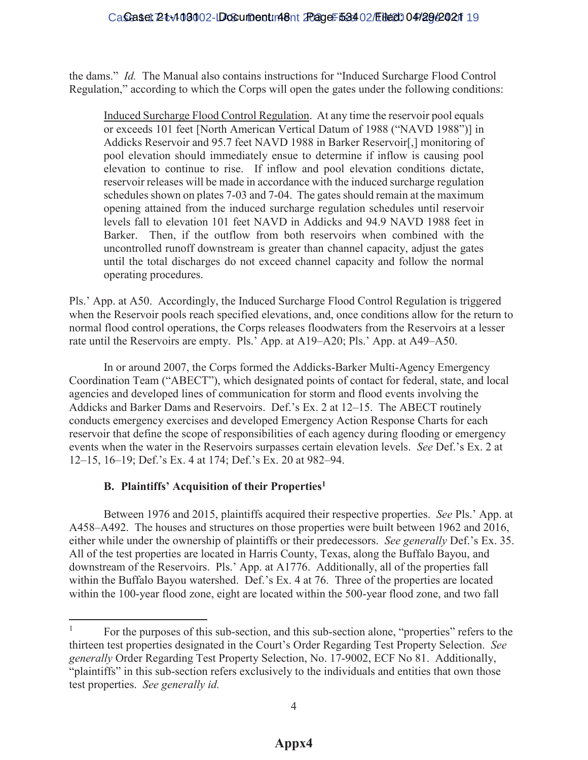the dams." *Id.* The Manual also contains instructions for "Induced Surcharge Flood Control" Regulation," according to which the Corps will open the gates under the following conditions:

Induced Surcharge Flood Control Regulation. At any time the reservoir pool equals or exceeds 101 feet [North American Vertical Datum of 1988 ("NAVD 1988")] in Addicks Reservoir and 95.7 feet NAVD 1988 in Barker Reservoir[,] monitoring of pool elevation should immediately ensue to determine if inflow is causing pool elevation to continue to rise. If inflow and pool elevation conditions dictate, reservoir releases will be made in accordance with the induced surcharge regulation schedules shown on plates 7-03 and 7-04. The gates should remain at the maximum opening attained from the induced surcharge regulation schedules until reservoir levels fall to elevation 101 feet NAVD in Addicks and 94.9 NAVD 1988 feet in Barker. Then, if the outflow from both reservoirs when combined with the uncontrolled runoff downstream is greater than channel capacity, adjust the gates until the total discharges do not exceed channel capacity and follow the normal operating procedures.

Pls.' App. at A50. Accordingly, the Induced Surcharge Flood Control Regulation is triggered when the Reservoir pools reach specified elevations, and, once conditions allow for the return to normal flood control operations, the Corps releases floodwaters from the Reservoirs at a lesser rate until the Reservoirs are empty. Pls.' App. at A19 $-A20$ ; Pls.' App. at A49 $-A50$ .

In or around 2007, the Corps formed the Addicks-Barker Multi-Agency Emergency Coordination Team ("ABECT"), which designated points of contact for federal, state, and local agencies and developed lines of communication for storm and flood events involving the Addicks and Barker Dams and Reservoirs. Def.'s Ex. 2 at 12–15. The ABECT routinely conducts emergency exercises and developed Emergency Action Response Charts for each reservoir that define the scope of responsibilities of each agency during flooding or emergency events when the water in the Reservoirs surpasses certain elevation levels. *See Def.*'s Ex. 2 at 12-15, 16-19; Def.'s Ex. 4 at 174; Def.'s Ex. 20 at 982-94.

# **B.** Plaintiffs' Acquisition of their Properties<sup>1</sup>

 $\overline{a}$ 

Between 1976 and 2015, plaintiffs acquired their respective properties. *See* Pls.' App. at A458-A492. The houses and structures on those properties were built between 1962 and 2016, either while under the ownership of plaintiffs or their predecessors. *See generally Def.*'s Ex. 35. All of the test properties are located in Harris County, Texas, along the Buffalo Bayou, and downstream of the Reservoirs. Pls.' App. at A1776. Additionally, all of the properties fall within the Buffalo Bayou watershed. Def.'s Ex. 4 at 76. Three of the properties are located within the 100-year flood zone, eight are located within the 500-year flood zone, and two fall

<sup>&</sup>lt;sup>1</sup> For the purposes of this sub-section, and this sub-section alone, "properties" refers to the thirteen test properties designated in the Court's Order Regarding Test Property Selection. See *generally* Order Regarding Test Property Selection, No. 17-9002, ECF No 81. Additionally, "plaintiffs" in this sub-section refers exclusively to the individuals and entities that own those test properties. *See generally id.*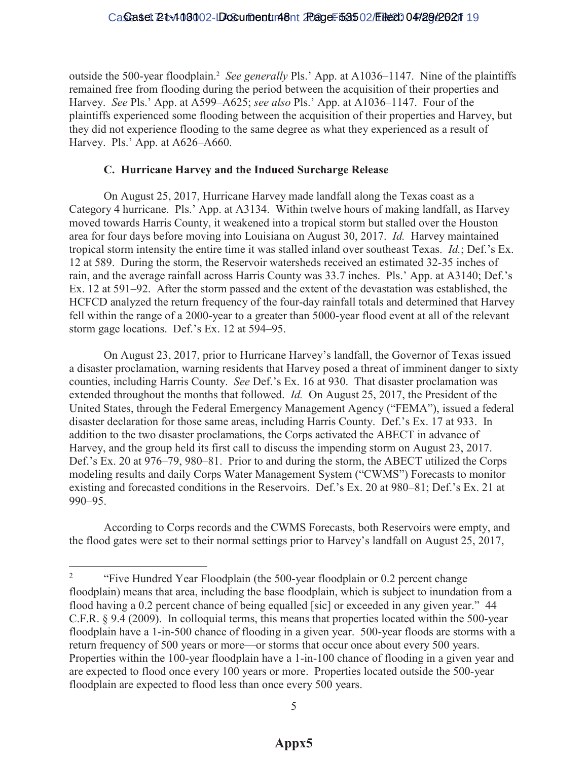# Caseset 2tv103002-LDosument: 48nt 20age: 53502/Eited: 04/29/2021 19

outside the 500-year floodplain.<sup>2</sup> *See generally* Pls.' App. at A1036–1147. Nine of the plaintiffs remained free from flooding during the period between the acquisition of their properties and Harvey. *See Pls.*' App. at A599–A625; *see also Pls.*' App. at A1036–1147. Four of the plaintiffs experienced some flooding between the acquisition of their properties and Harvey, but they did not experience flooding to the same degree as what they experienced as a result of Harvey. Pls.' App. at A626-A660.

# **C. Hurricane Harvey and the Induced Surcharge Release**

On August 25, 2017, Hurricane Harvey made landfall along the Texas coast as a Category 4 hurricane. Pls.' App. at A3134. Within twelve hours of making landfall, as Harvey moved towards Harris County, it weakened into a tropical storm but stalled over the Houston area for four days before moving into Louisiana on August 30, 2017. *Id.* Harvey maintained tropical storm intensity the entire time it was stalled inland over southeast Texas. *Id.*; Def.'s Ex. 12 at 589. During the storm, the Reservoir watersheds received an estimated 32-35 inches of rain, and the average rainfall across Harris County was 33.7 inches. Pls.' App. at A3140; Def.'s Ex. 12 at 591–92. After the storm passed and the extent of the devastation was established, the HCFCD analyzed the return frequency of the four-day rainfall totals and determined that Harvey fell within the range of a 2000-year to a greater than 5000-year flood event at all of the relevant storm gage locations. Def.'s Ex. 12 at 594–95.

On August 23, 2017, prior to Hurricane Harvey's landfall, the Governor of Texas issued a disaster proclamation, warning residents that Harvey posed a threat of imminent danger to sixty counties, including Harris County. *See Def.*'s Ex. 16 at 930. That disaster proclamation was extended throughout the months that followed. *Id.* On August 25, 2017, the President of the United States, through the Federal Emergency Management Agency ("FEMA"), issued a federal disaster declaration for those same areas, including Harris County. Def.'s Ex. 17 at 933. In addition to the two disaster proclamations, the Corps activated the ABECT in advance of Harvey, and the group held its first call to discuss the impending storm on August 23, 2017. Def.'s Ex. 20 at 976–79, 980–81. Prior to and during the storm, the ABECT utilized the Corps modeling results and daily Corps Water Management System ("CWMS") Forecasts to monitor existing and forecasted conditions in the Reservoirs. Def.'s Ex. 20 at  $980-81$ ; Def.'s Ex. 21 at 990±95.

According to Corps records and the CWMS Forecasts, both Reservoirs were empty, and the flood gates were set to their normal settings prior to Harvey's landfall on August 25, 2017,

 $\overline{2}$ "Five Hundred Year Floodplain (the 500-year floodplain or 0.2 percent change floodplain) means that area, including the base floodplain, which is subject to inundation from a flood having a 0.2 percent chance of being equalled [sic] or exceeded in any given year."  $44$ C.F.R. § 9.4 (2009). In colloquial terms, this means that properties located within the 500-year floodplain have a 1-in-500 chance of flooding in a given year. 500-year floods are storms with a return frequency of 500 years or more—or storms that occur once about every 500 years. Properties within the 100-year floodplain have a 1-in-100 chance of flooding in a given year and are expected to flood once every 100 years or more. Properties located outside the 500-year floodplain are expected to flood less than once every 500 years.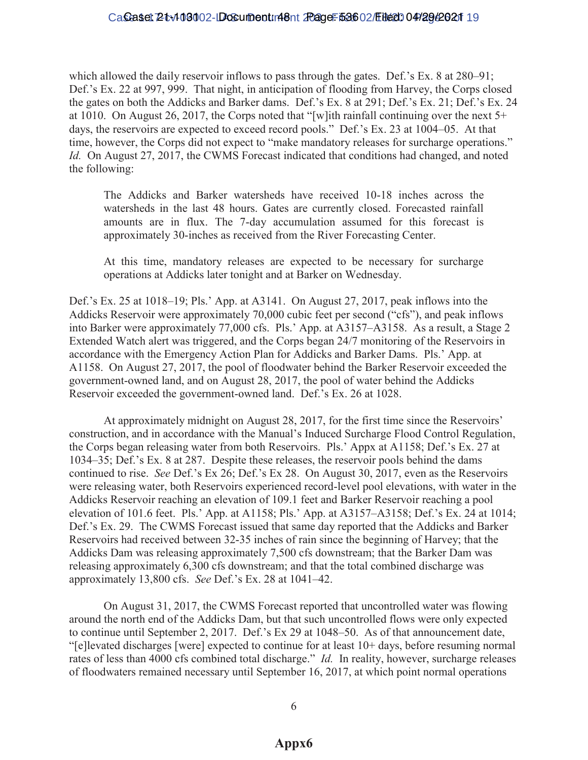# Caseset 2tv109002-LDosument: 48nt 20age: 53602/Eited: 04/2942021 19

which allowed the daily reservoir inflows to pass through the gates. Def.'s Ex.  $8$  at  $280-91$ ; Def.'s Ex. 22 at 997, 999. That night, in anticipation of flooding from Harvey, the Corps closed the gates on both the Addicks and Barker dams. Def.'s Ex. 8 at 291; Def.'s Ex. 21; Def.'s Ex. 24 at 1010. On August 26, 2017, the Corps noted that "[w]ith rainfall continuing over the next  $5+$ days, the reservoirs are expected to exceed record pools." Def.'s Ex. 23 at  $1004-05$ . At that time, however, the Corps did not expect to "make mandatory releases for surcharge operations." *Id.* On August 27, 2017, the CWMS Forecast indicated that conditions had changed, and noted the following:

The Addicks and Barker watersheds have received 10-18 inches across the watersheds in the last 48 hours. Gates are currently closed. Forecasted rainfall amounts are in flux. The 7-day accumulation assumed for this forecast is approximately 30-inches as received from the River Forecasting Center.

At this time, mandatory releases are expected to be necessary for surcharge operations at Addicks later tonight and at Barker on Wednesday.

Def.'s Ex. 25 at 1018–19; Pls.' App. at A3141. On August 27, 2017, peak inflows into the Addicks Reservoir were approximately 70,000 cubic feet per second ("cfs"), and peak inflows into Barker were approximately  $77,000$  cfs. Pls.' App. at A3157–A3158. As a result, a Stage 2 Extended Watch alert was triggered, and the Corps began 24/7 monitoring of the Reservoirs in accordance with the Emergency Action Plan for Addicks and Barker Dams. Pls.' App. at A1158. On August 27, 2017, the pool of floodwater behind the Barker Reservoir exceeded the government-owned land, and on August 28, 2017, the pool of water behind the Addicks Reservoir exceeded the government-owned land. Def.'s Ex. 26 at 1028.

At approximately midnight on August 28, 2017, for the first time since the Reservoirs' construction, and in accordance with the Manual's Induced Surcharge Flood Control Regulation, the Corps began releasing water from both Reservoirs. Pls.' Appx at A1158; Def.'s Ex. 27 at  $1034-35$ ; Def.'s Ex. 8 at 287. Despite these releases, the reservoir pools behind the dams continued to rise. *See* Def.'s Ex 26; Def.'s Ex 28. On August 30, 2017, even as the Reservoirs were releasing water, both Reservoirs experienced record-level pool elevations, with water in the Addicks Reservoir reaching an elevation of 109.1 feet and Barker Reservoir reaching a pool elevation of 101.6 feet. Pls.' App. at A1158; Pls.' App. at A3157–A3158; Def.'s Ex. 24 at 1014; Def.'s Ex. 29. The CWMS Forecast issued that same day reported that the Addicks and Barker Reservoirs had received between 32-35 inches of rain since the beginning of Harvey; that the Addicks Dam was releasing approximately 7,500 cfs downstream; that the Barker Dam was releasing approximately 6,300 cfs downstream; and that the total combined discharge was approximately 13,800 cfs. *See Def.*'s Ex. 28 at 1041–42.

On August 31, 2017, the CWMS Forecast reported that uncontrolled water was flowing around the north end of the Addicks Dam, but that such uncontrolled flows were only expected to continue until September 2, 2017. Def.'s Ex 29 at 1048–50. As of that announcement date,  $\lq$ -[e] levated discharges [were] expected to continue for at least  $10+$  days, before resuming normal rates of less than 4000 cfs combined total discharge." *Id.* In reality, however, surcharge releases of floodwaters remained necessary until September 16, 2017, at which point normal operations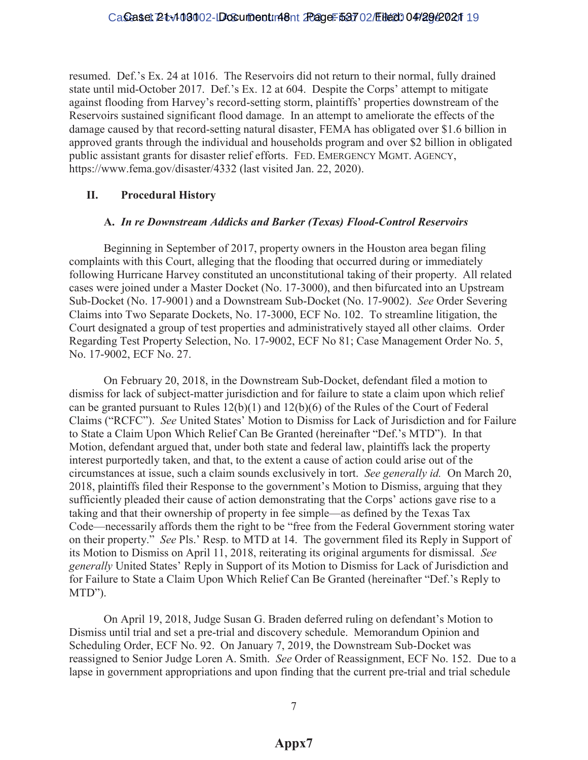resumed. Def.'s Ex. 24 at 1016. The Reservoirs did not return to their normal, fully drained state until mid-October 2017. Def.'s Ex. 12 at 604. Despite the Corps' attempt to mitigate against flooding from Harvey's record-setting storm, plaintiffs' properties downstream of the Reservoirs sustained significant flood damage. In an attempt to ameliorate the effects of the damage caused by that record-setting natural disaster, FEMA has obligated over \$1.6 billion in approved grants through the individual and households program and over \$2 billion in obligated public assistant grants for disaster relief efforts. FED. EMERGENCY MGMT. AGENCY, https://www.fema.gov/disaster/4332 (last visited Jan. 22, 2020).

# **II. Procedural History**

# **A.** *In re Downstream Addicks and Barker (Texas) Flood-Control Reservoirs*

Beginning in September of 2017, property owners in the Houston area began filing complaints with this Court, alleging that the flooding that occurred during or immediately following Hurricane Harvey constituted an unconstitutional taking of their property. All related cases were joined under a Master Docket (No. 17-3000), and then bifurcated into an Upstream Sub-Docket (No. 17-9001) and a Downstream Sub-Docket (No. 17-9002). *See* Order Severing Claims into Two Separate Dockets, No. 17-3000, ECF No. 102. To streamline litigation, the Court designated a group of test properties and administratively stayed all other claims. Order Regarding Test Property Selection, No. 17-9002, ECF No 81; Case Management Order No. 5, No. 17-9002, ECF No. 27.

On February 20, 2018, in the Downstream Sub-Docket, defendant filed a motion to dismiss for lack of subject-matter jurisdiction and for failure to state a claim upon which relief can be granted pursuant to Rules 12(b)(1) and 12(b)(6) of the Rules of the Court of Federal Claims ("RCFC"). See United States' Motion to Dismiss for Lack of Jurisdiction and for Failure to State a Claim Upon Which Relief Can Be Granted (hereinafter "Def.'s MTD"). In that Motion, defendant argued that, under both state and federal law, plaintiffs lack the property interest purportedly taken, and that, to the extent a cause of action could arise out of the circumstances at issue, such a claim sounds exclusively in tort. *See generally id.* On March 20, 2018, plaintiffs filed their Response to the government's Motion to Dismiss, arguing that they sufficiently pleaded their cause of action demonstrating that the Corps' actions gave rise to a taking and that their ownership of property in fee simple—as defined by the Texas Tax Code—necessarily affords them the right to be "free from the Federal Government storing water on their property." *See Pls.*' Resp. to MTD at 14. The government filed its Reply in Support of its Motion to Dismiss on April 11, 2018, reiterating its original arguments for dismissal. *See generally* United States' Reply in Support of its Motion to Dismiss for Lack of Jurisdiction and for Failure to State a Claim Upon Which Relief Can Be Granted (hereinafter "Def.'s Reply to MTD").

On April 19, 2018, Judge Susan G. Braden deferred ruling on defendant's Motion to Dismiss until trial and set a pre-trial and discovery schedule. Memorandum Opinion and Scheduling Order, ECF No. 92. On January 7, 2019, the Downstream Sub-Docket was reassigned to Senior Judge Loren A. Smith. *See* Order of Reassignment, ECF No. 152. Due to a lapse in government appropriations and upon finding that the current pre-trial and trial schedule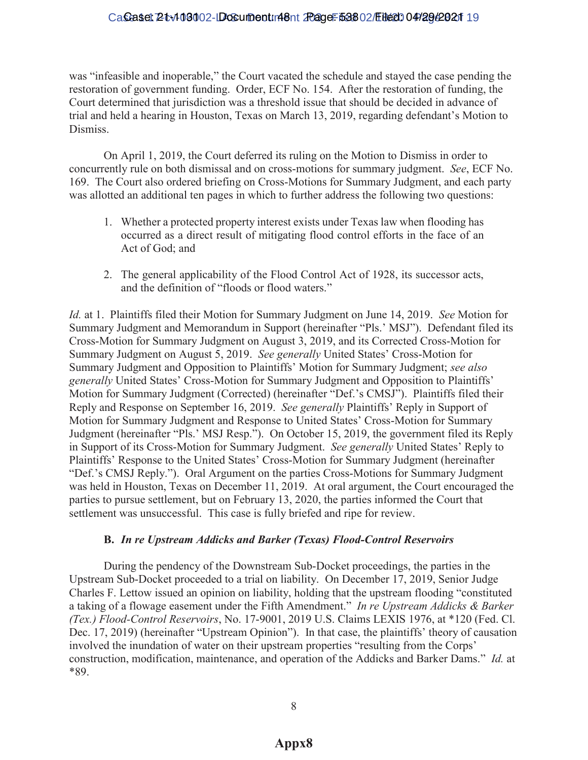# Caseset 2tv103002-LDosument: 48nt 20age: 53802/Eited: 04/2942021 19

was "infeasible and inoperable," the Court vacated the schedule and stayed the case pending the restoration of government funding. Order, ECF No. 154. After the restoration of funding, the Court determined that jurisdiction was a threshold issue that should be decided in advance of trial and held a hearing in Houston, Texas on March 13, 2019, regarding defendant's Motion to Dismiss.

On April 1, 2019, the Court deferred its ruling on the Motion to Dismiss in order to concurrently rule on both dismissal and on cross-motions for summary judgment. *See*, ECF No. 169. The Court also ordered briefing on Cross-Motions for Summary Judgment, and each party was allotted an additional ten pages in which to further address the following two questions:

- 1. Whether a protected property interest exists under Texas law when flooding has occurred as a direct result of mitigating flood control efforts in the face of an Act of God; and
- 2. The general applicability of the Flood Control Act of 1928, its successor acts, and the definition of "floods or flood waters."

*Id.* at 1. Plaintiffs filed their Motion for Summary Judgment on June 14, 2019. *See* Motion for Summary Judgment and Memorandum in Support (hereinafter "Pls.' MSJ"). Defendant filed its Cross-Motion for Summary Judgment on August 3, 2019, and its Corrected Cross-Motion for Summary Judgment on August 5, 2019. *See generally* United States' Cross-Motion for Summary Judgment and Opposition to Plaintiffs' Motion for Summary Judgment; see also *generally* United States' Cross-Motion for Summary Judgment and Opposition to Plaintiffs' Motion for Summary Judgment (Corrected) (hereinafter "Def.'s CMSJ"). Plaintiffs filed their Reply and Response on September 16, 2019. *See generally Plaintiffs'* Reply in Support of Motion for Summary Judgment and Response to United States' Cross-Motion for Summary Judgment (hereinafter "Pls.' MSJ Resp."). On October 15, 2019, the government filed its Reply in Support of its Cross-Motion for Summary Judgment. *See generally* United States' Reply to Plaintiffs' Response to the United States' Cross-Motion for Summary Judgment (hereinafter "Def.'s CMSJ Reply."). Oral Argument on the parties Cross-Motions for Summary Judgment was held in Houston, Texas on December 11, 2019. At oral argument, the Court encouraged the parties to pursue settlement, but on February 13, 2020, the parties informed the Court that settlement was unsuccessful. This case is fully briefed and ripe for review.

### **B.** *In re Upstream Addicks and Barker (Texas) Flood-Control Reservoirs*

During the pendency of the Downstream Sub-Docket proceedings, the parties in the Upstream Sub-Docket proceeded to a trial on liability. On December 17, 2019, Senior Judge Charles F. Lettow issued an opinion on liability, holding that the upstream flooding "constituted a taking of a flowage easement under the Fifth Amendment." In re Upstream Addicks & Barker *(Tex.) Flood-Control Reservoirs*, No. 17-9001, 2019 U.S. Claims LEXIS 1976, at \*120 (Fed. Cl. Dec. 17, 2019) (hereinafter "Upstream Opinion"). In that case, the plaintiffs' theory of causation involved the inundation of water on their upstream properties "resulting from the Corps" construction, modification, maintenance, and operation of the Addicks and Barker Dams.´*Id.* at \*89.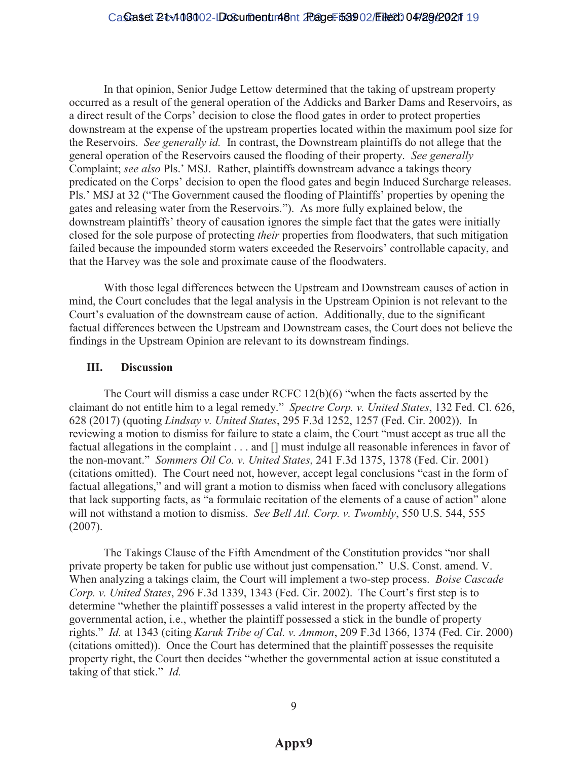In that opinion, Senior Judge Lettow determined that the taking of upstream property occurred as a result of the general operation of the Addicks and Barker Dams and Reservoirs, as a direct result of the Corps' decision to close the flood gates in order to protect properties downstream at the expense of the upstream properties located within the maximum pool size for the Reservoirs. *See generally id.* In contrast, the Downstream plaintiffs do not allege that the general operation of the Reservoirs caused the flooding of their property. *See generally* Complaint; see also Pls.' MSJ. Rather, plaintiffs downstream advance a takings theory predicated on the Corps' decision to open the flood gates and begin Induced Surcharge releases. Pls.' MSJ at 32 ("The Government caused the flooding of Plaintiffs' properties by opening the gates and releasing water from the Reservoirs."). As more fully explained below, the downstream plaintiffs' theory of causation ignores the simple fact that the gates were initially closed for the sole purpose of protecting *their* properties from floodwaters, that such mitigation failed because the impounded storm waters exceeded the Reservoirs' controllable capacity, and that the Harvey was the sole and proximate cause of the floodwaters.

With those legal differences between the Upstream and Downstream causes of action in mind, the Court concludes that the legal analysis in the Upstream Opinion is not relevant to the Court's evaluation of the downstream cause of action. Additionally, due to the significant factual differences between the Upstream and Downstream cases, the Court does not believe the findings in the Upstream Opinion are relevant to its downstream findings.

# **III. Discussion**

The Court will dismiss a case under RCFC  $12(b)(6)$  "when the facts asserted by the claimant do not entitle him to a legal remedy." Spectre Corp. v. United States, 132 Fed. Cl. 626, 628 (2017) (quoting *Lindsay v. United States*, 295 F.3d 1252, 1257 (Fed. Cir. 2002)). In reviewing a motion to dismiss for failure to state a claim, the Court "must accept as true all the factual allegations in the complaint . . . and [] must indulge all reasonable inferences in favor of the non-movant." Sommers Oil Co. v. United States, 241 F.3d 1375, 1378 (Fed. Cir. 2001) (citations omitted). The Court need not, however, accept legal conclusions "cast in the form of factual allegations," and will grant a motion to dismiss when faced with conclusory allegations that lack supporting facts, as "a formulaic recitation of the elements of a cause of action" alone will not withstand a motion to dismiss. *See Bell Atl. Corp. v. Twombly*, 550 U.S. 544, 555 (2007).

The Takings Clause of the Fifth Amendment of the Constitution provides "nor shall private property be taken for public use without just compensation." U.S. Const. amend. V. When analyzing a takings claim, the Court will implement a two-step process. *Boise Cascade Corp. v. United States,* 296 F.3d 1339, 1343 (Fed. Cir. 2002). The Court's first step is to determine "whether the plaintiff possesses a valid interest in the property affected by the governmental action, i.e., whether the plaintiff possessed a stick in the bundle of property rights." *Id.* at 1343 (citing *Karuk Tribe of Cal. v. Ammon*, 209 F.3d 1366, 1374 (Fed. Cir. 2000) (citations omitted)). Once the Court has determined that the plaintiff possesses the requisite property right, the Court then decides "whether the governmental action at issue constituted a taking of that stick." *Id.*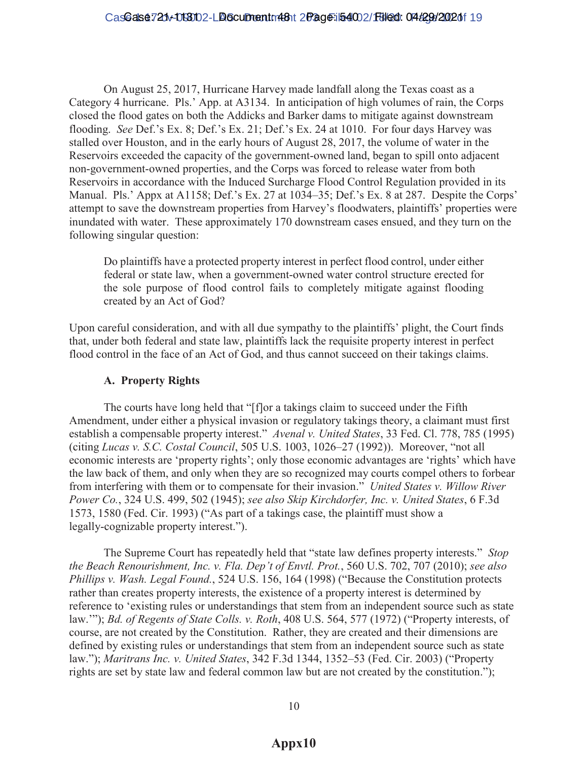On August 25, 2017, Hurricane Harvey made landfall along the Texas coast as a Category 4 hurricane. Pls.' App. at A3134. In anticipation of high volumes of rain, the Corps closed the flood gates on both the Addicks and Barker dams to mitigate against downstream flooding. *See Def.*'s Ex. 8; Def.'s Ex. 21; Def.'s Ex. 24 at 1010. For four days Harvey was stalled over Houston, and in the early hours of August 28, 2017, the volume of water in the Reservoirs exceeded the capacity of the government-owned land, began to spill onto adjacent non-government-owned properties, and the Corps was forced to release water from both Reservoirs in accordance with the Induced Surcharge Flood Control Regulation provided in its Manual. Pls.' Appx at A1158; Def.'s Ex. 27 at 1034–35; Def.'s Ex. 8 at 287. Despite the Corps' attempt to save the downstream properties from Harvey's floodwaters, plaintiffs' properties were inundated with water. These approximately 170 downstream cases ensued, and they turn on the following singular question:

Do plaintiffs have a protected property interest in perfect flood control, under either federal or state law, when a government-owned water control structure erected for the sole purpose of flood control fails to completely mitigate against flooding created by an Act of God?

Upon careful consideration, and with all due sympathy to the plaintiffs' plight, the Court finds that, under both federal and state law, plaintiffs lack the requisite property interest in perfect flood control in the face of an Act of God, and thus cannot succeed on their takings claims.

# **A. Property Rights**

The courts have long held that "[f] or a takings claim to succeed under the Fifth Amendment, under either a physical invasion or regulatory takings theory, a claimant must first establish a compensable property interest." Avenal v. United States, 33 Fed. Cl. 778, 785 (1995) (citing *Lucas v. S.C. Costal Council*, 505 U.S. 1003, 1026–27 (1992)). Moreover, "not all economic interests are 'property rights'; only those economic advantages are 'rights' which have the law back of them, and only when they are so recognized may courts compel others to forbear from interfering with them or to compensate for their invasion.´*United States v. Willow River Power Co.*, 324 U.S. 499, 502 (1945); *see also Skip Kirchdorfer, Inc. v. United States*, 6 F.3d 1573, 1580 (Fed. Cir. 1993) ("As part of a takings case, the plaintiff must show a legally-cognizable property interest.").

The Supreme Court has repeatedly held that "state law defines property interests." *Stop the Beach Renourishment, Inc. v. Fla. Dep't of Envtl. Prot., 560 U.S. 702, 707 (2010); see also Phillips v. Wash. Legal Found.*, 524 U.S. 156, 164 (1998) ("Because the Constitution protects rather than creates property interests, the existence of a property interest is determined by reference to 'existing rules or understandings that stem from an independent source such as state law.""); *Bd. of Regents of State Colls. v. Roth*, 408 U.S. 564, 577 (1972) ("Property interests, of course, are not created by the Constitution. Rather, they are created and their dimensions are defined by existing rules or understandings that stem from an independent source such as state law."); *Maritrans Inc. v. United States*, 342 F.3d 1344, 1352–53 (Fed. Cir. 2003) ("Property rights are set by state law and federal common law but are not created by the constitution.");

# **Appx10**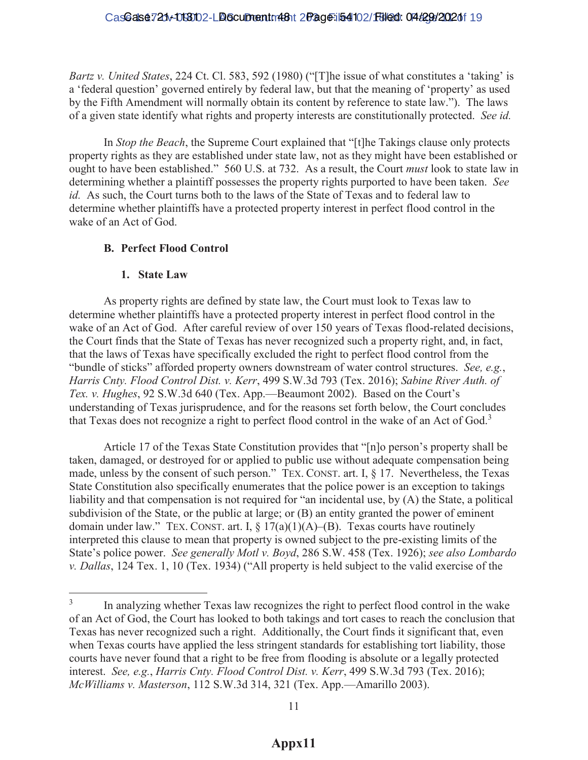# CasGalse721v-0130102-LB6cumentm481t 2Page-i54102/18/200: 04t29t/2020f 19

*Bartz v. United States, 224 Ct. Cl.* 583, 592 (1980) ("[T]he issue of what constitutes a 'taking' is a 'federal question' governed entirely by federal law, but that the meaning of 'property' as used by the Fifth Amendment will normally obtain its content by reference to state law."). The laws of a given state identify what rights and property interests are constitutionally protected. *See id.*

In *Stop the Beach*, the Supreme Court explained that "[t]he Takings clause only protects property rights as they are established under state law, not as they might have been established or ought to have been established." 560 U.S. at 732. As a result, the Court *must* look to state law in determining whether a plaintiff possesses the property rights purported to have been taken. *See id.* As such, the Court turns both to the laws of the State of Texas and to federal law to determine whether plaintiffs have a protected property interest in perfect flood control in the wake of an Act of God.

# **B. Perfect Flood Control**

# **1. State Law**

As property rights are defined by state law, the Court must look to Texas law to determine whether plaintiffs have a protected property interest in perfect flood control in the wake of an Act of God. After careful review of over 150 years of Texas flood-related decisions, the Court finds that the State of Texas has never recognized such a property right, and, in fact, that the laws of Texas have specifically excluded the right to perfect flood control from the "bundle of sticks" afforded property owners downstream of water control structures. *See, e.g.*, *Harris Cnty. Flood Control Dist. v. Kerr*, 499 S.W.3d 793 (Tex. 2016); *Sabine River Auth. of Tex. v. Hughes*, 92 S.W.3d 640 (Tex. App.—Beaumont 2002). Based on the Court's understanding of Texas jurisprudence, and for the reasons set forth below, the Court concludes that Texas does not recognize a right to perfect flood control in the wake of an Act of God.<sup>3</sup>

Article 17 of the Texas State Constitution provides that " $[n]$  person's property shall be taken, damaged, or destroyed for or applied to public use without adequate compensation being made, unless by the consent of such person." TEX. CONST. art. I,  $\S$  17. Nevertheless, the Texas State Constitution also specifically enumerates that the police power is an exception to takings liability and that compensation is not required for "an incidental use, by  $(A)$  the State, a political subdivision of the State, or the public at large; or (B) an entity granted the power of eminent domain under law." TEX. CONST. art. I,  $\S 17(a)(1)(A)$ –(B). Texas courts have routinely interpreted this clause to mean that property is owned subject to the pre-existing limits of the State's police power. *See generally Motl v. Boyd*, 286 S.W. 458 (Tex. 1926); *see also Lombardo Tex. 1, 10 (Tex. 1934) ("All property is held subject to the valid exercise of the* 

 $\overline{3}$ In analyzing whether Texas law recognizes the right to perfect flood control in the wake of an Act of God, the Court has looked to both takings and tort cases to reach the conclusion that Texas has never recognized such a right. Additionally, the Court finds it significant that, even when Texas courts have applied the less stringent standards for establishing tort liability, those courts have never found that a right to be free from flooding is absolute or a legally protected interest. *See, e.g.*, *Harris Cnty. Flood Control Dist. v. Kerr*, 499 S.W.3d 793 (Tex. 2016); *McWilliams v. Masterson, 112 S.W.3d 314, 321 (Tex. App.*—Amarillo 2003).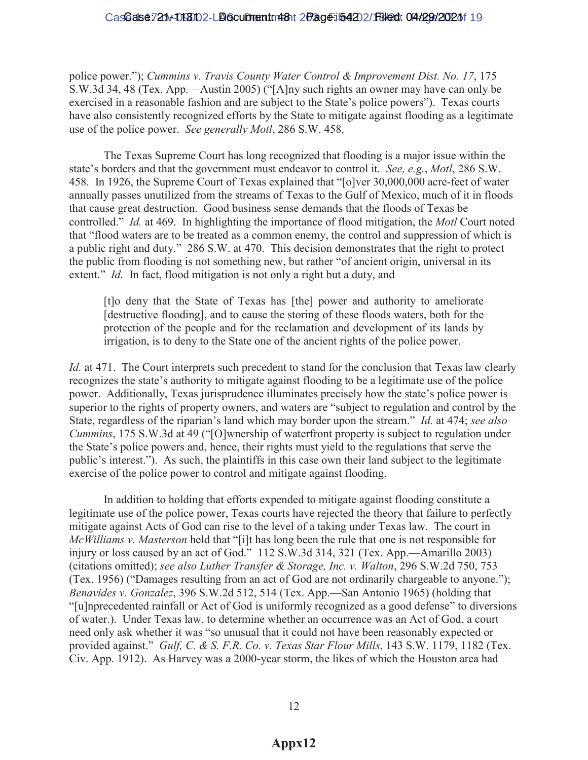# CasGalse721v-0130102-LB6cumentm481t 2Page-i54202/18/200: 04 42 9 2020 f 19

police power."); Cummins v. Travis County Water Control & Improvement Dist. No. 17, 175 S.W.3d 34, 48 (Tex. App.—Austin 2005) ("[A]ny such rights an owner may have can only be exercised in a reasonable fashion and are subject to the State's police powers"). Texas courts have also consistently recognized efforts by the State to mitigate against flooding as a legitimate use of the police power. *See generally Motl*, 286 S.W. 458.

The Texas Supreme Court has long recognized that flooding is a major issue within the state's borders and that the government must endeavor to control it. *See, e.g., Motl,* 286 S.W. 458. In 1926, the Supreme Court of Texas explained that "[o]ver 30,000,000 acre-feet of water annually passes unutilized from the streams of Texas to the Gulf of Mexico, much of it in floods that cause great destruction. Good business sense demands that the floods of Texas be controlled." *Id.* at 469. In highlighting the importance of flood mitigation, the *Motl* Court noted that "flood waters are to be treated as a common enemy, the control and suppression of which is a public right and duty." 286 S.W. at 470. This decision demonstrates that the right to protect the public from flooding is not something new, but rather "of ancient origin, universal in its extent." *Id.* In fact, flood mitigation is not only a right but a duty, and

[t]o deny that the State of Texas has [the] power and authority to ameliorate [destructive flooding], and to cause the storing of these floods waters, both for the protection of the people and for the reclamation and development of its lands by irrigation, is to deny to the State one of the ancient rights of the police power.

*Id.* at 471. The Court interprets such precedent to stand for the conclusion that Texas law clearly recognizes the state's authority to mitigate against flooding to be a legitimate use of the police power. Additionally, Texas jurisprudence illuminates precisely how the state's police power is superior to the rights of property owners, and waters are "subject to regulation and control by the State, regardless of the riparian's land which may border upon the stream." *Id.* at 474; *see also Cummins*, 175 S.W.3d at 49 ("[O]wnership of waterfront property is subject to regulation under the State's police powers and, hence, their rights must yield to the regulations that serve the public's interest."). As such, the plaintiffs in this case own their land subject to the legitimate exercise of the police power to control and mitigate against flooding.

In addition to holding that efforts expended to mitigate against flooding constitute a legitimate use of the police power, Texas courts have rejected the theory that failure to perfectly mitigate against Acts of God can rise to the level of a taking under Texas law. The court in *McWilliams v. Masterson* held that "[i]t has long been the rule that one is not responsible for injury or loss caused by an act of God. $\degree$  112 S.W.3d 314, 321 (Tex. App.—Amarillo 2003) (citations omitted); *see also Luther Transfer & Storage, Inc. v. Walton*, 296 S.W.2d 750, 753 (Tex. 1956) ("Damages resulting from an act of God are not ordinarily chargeable to anyone."); *Benavides v. Gonzalez*, 396 S.W.2d 512, 514 (Tex. App.—San Antonio 1965) (holding that "[u]nprecedented rainfall or Act of God is uniformly recognized as a good defense" to diversions of water.). Under Texas law, to determine whether an occurrence was an Act of God, a court here present only ask whether it was "so unusual that it could not have been reasonably expected or provided against." Gulf, C. & S. F.R. Co. v. Texas Star Flour Mills, 143 S.W. 1179, 1182 (Tex. Civ. App. 1912). As Harvey was a 2000-year storm, the likes of which the Houston area had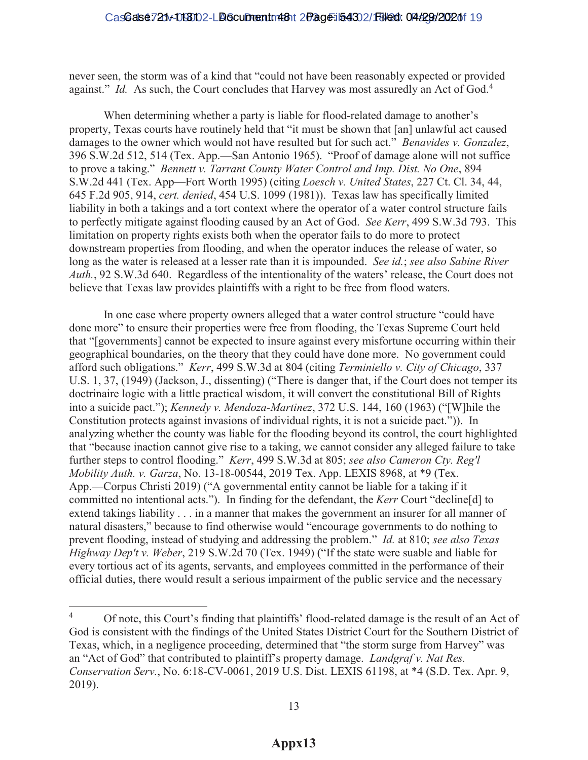never seen, the storm was of a kind that "could not have been reasonably expected or provided against." *Id.* As such, the Court concludes that Harvey was most assuredly an Act of God.<sup>4</sup>

When determining whether a party is liable for flood-related damage to another's property, Texas courts have routinely held that "it must be shown that [an] unlawful act caused damages to the owner which would not have resulted but for such act." *Benavides v. Gonzalez*, 396 S.W.2d 512, 514 (Tex. App.—San Antonio 1965). "Proof of damage alone will not suffice to prove a taking.´*Bennett v. Tarrant County Water Control and Imp. Dist. No One*, 894 S.W.2d 441 (Tex. App—Fort Worth 1995) (citing *Loesch v. United States*, 227 Ct. Cl. 34, 44, 645 F.2d 905, 914, *cert. denied*, 454 U.S. 1099 (1981)). Texas law has specifically limited liability in both a takings and a tort context where the operator of a water control structure fails to perfectly mitigate against flooding caused by an Act of God. *See Kerr*, 499 S.W.3d 793. This limitation on property rights exists both when the operator fails to do more to protect downstream properties from flooding, and when the operator induces the release of water, so long as the water is released at a lesser rate than it is impounded. *See id.*; *see also Sabine River Auth.*, 92 S.W.3d 640. Regardless of the intentionality of the waters' release, the Court does not believe that Texas law provides plaintiffs with a right to be free from flood waters.

In one case where property owners alleged that a water control structure "could have done more" to ensure their properties were free from flooding, the Texas Supreme Court held that "[governments] cannot be expected to insure against every misfortune occurring within their geographical boundaries, on the theory that they could have done more. No government could afford such obligations.´*Kerr*, 499 S.W.3d at 804 (citing *Terminiello v. City of Chicago*, 337 U.S. 1, 37, (1949) (Jackson, J., dissenting) ("There is danger that, if the Court does not temper its doctrinaire logic with a little practical wisdom, it will convert the constitutional Bill of Rights into a suicide pact."); *Kennedy v. Mendoza-Martinez*, 372 U.S. 144, 160 (1963) ("[W]hile the Constitution protects against invasions of individual rights, it is not a suicide pact.´)). In analyzing whether the county was liable for the flooding beyond its control, the court highlighted that "because inaction cannot give rise to a taking, we cannot consider any alleged failure to take further steps to control flooding." Kerr, 499 S.W.3d at 805; see also Cameron Cty. Reg'l *Mobility Auth. v. Garza*, No. 13-18-00544, 2019 Tex. App. LEXIS 8968, at \*9 (Tex. App.—Corpus Christi 2019) ("A governmental entity cannot be liable for a taking if it committed no intentional acts."). In finding for the defendant, the *Kerr* Court "decline<sup>[d]</sup> to extend takings liability . . . in a manner that makes the government an insurer for all manner of natural disasters," because to find otherwise would "encourage governments to do nothing to prevent flooding, instead of studying and addressing the problem.´*Id.* at 810; *see also Texas Highway Dep't v. Weber*, 219 S.W.2d 70 (Tex. 1949) ("If the state were suable and liable for every tortious act of its agents, servants, and employees committed in the performance of their official duties, there would result a serious impairment of the public service and the necessary

 $\overline{a}$ 

<sup>&</sup>lt;sup>4</sup> Of note, this Court's finding that plaintiffs' flood-related damage is the result of an Act of God is consistent with the findings of the United States District Court for the Southern District of Texas, which, in a negligence proceeding, determined that "the storm surge from Harvey" was an "Act of God" that contributed to plaintiff's property damage. *Landgraf v. Nat Res. Conservation Serv.*, No. 6:18-CV-0061, 2019 U.S. Dist. LEXIS 61198, at \*4 (S.D. Tex. Apr. 9, 2019).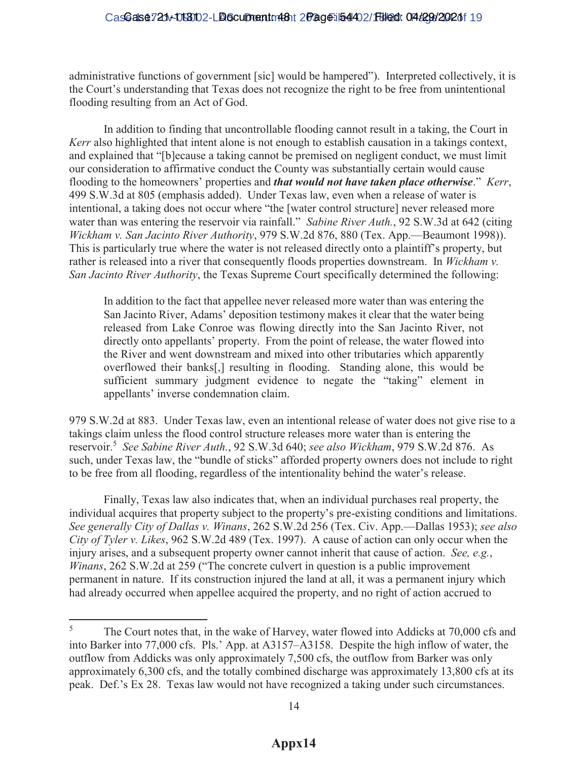administrative functions of government [sic] would be hampered´. Interpreted collectively, it is the Court's understanding that Texas does not recognize the right to be free from unintentional flooding resulting from an Act of God.

In addition to finding that uncontrollable flooding cannot result in a taking, the Court in *Kerr* also highlighted that intent alone is not enough to establish causation in a takings context, and explained that "[b]ecause a taking cannot be premised on negligent conduct, we must limit our consideration to affirmative conduct the County was substantially certain would cause flooding to the homeowners' properties and *that would not have taken place otherwise*." *Kerr*, 499 S.W.3d at 805 (emphasis added). Under Texas law, even when a release of water is intentional, a taking does not occur where "the [water control structure] never released more water than was entering the reservoir via rainfall." Sabine River Auth., 92 S.W.3d at 642 (citing *Wickham v. San Jacinto River Authority*, 979 S.W.2d 876, 880 (Tex. App.—Beaumont 1998)). This is particularly true where the water is not released directly onto a plaintiff's property, but rather is released into a river that consequently floods properties downstream. In *Wickham v. San Jacinto River Authority*, the Texas Supreme Court specifically determined the following:

In addition to the fact that appellee never released more water than was entering the San Jacinto River, Adams' deposition testimony makes it clear that the water being released from Lake Conroe was flowing directly into the San Jacinto River, not directly onto appellants' property. From the point of release, the water flowed into the River and went downstream and mixed into other tributaries which apparently overflowed their banks[,] resulting in flooding. Standing alone, this would be sufficient summary judgment evidence to negate the "taking" element in appellants' inverse condemnation claim.

979 S.W.2d at 883. Under Texas law, even an intentional release of water does not give rise to a takings claim unless the flood control structure releases more water than is entering the reservoir.<sup>5</sup> *See Sabine River Auth.*, 92 S.W.3d 640; *see also Wickham*, 979 S.W.2d 876. As such, under Texas law, the "bundle of sticks" afforded property owners does not include to right to be free from all flooding, regardless of the intentionality behind the water's release.

Finally, Texas law also indicates that, when an individual purchases real property, the individual acquires that property subject to the property's pre-existing conditions and limitations. *See generally City of Dallas v. Winans, 262 S.W.2d 256 (Tex. Civ. App.—Dallas 1953); see also City of Tyler v. Likes*, 962 S.W.2d 489 (Tex. 1997). A cause of action can only occur when the injury arises, and a subsequent property owner cannot inherit that cause of action. *See, e.g.*, *Winans*, 262 S.W.2d at 259 ("The concrete culvert in question is a public improvement permanent in nature. If its construction injured the land at all, it was a permanent injury which had already occurred when appellee acquired the property, and no right of action accrued to

 $\overline{a}$ 

<sup>&</sup>lt;sup>5</sup> The Court notes that, in the wake of Harvey, water flowed into Addicks at 70,000 cfs and into Barker into 77,000 cfs. Pls.' App. at  $A3157-A3158$ . Despite the high inflow of water, the outflow from Addicks was only approximately 7,500 cfs, the outflow from Barker was only approximately 6,300 cfs, and the totally combined discharge was approximately 13,800 cfs at its peak. Def.'s Ex 28. Texas law would not have recognized a taking under such circumstances.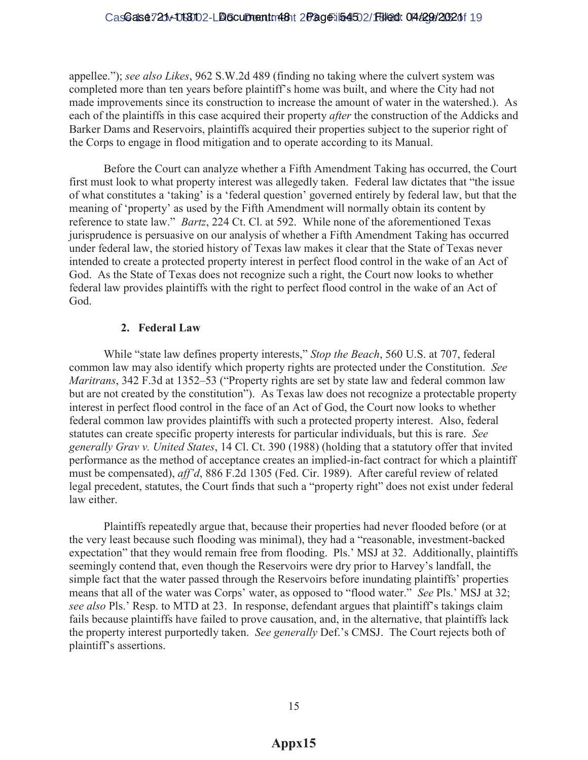# CasGalse721v-0130102-LB6cumentm481t 2Page-i54502/18/200: 04t29t/2020f 19

appellee."); see also Likes, 962 S.W.2d 489 (finding no taking where the culvert system was completed more than ten years before plaintiff's home was built, and where the City had not made improvements since its construction to increase the amount of water in the watershed.). As each of the plaintiffs in this case acquired their property *after* the construction of the Addicks and Barker Dams and Reservoirs, plaintiffs acquired their properties subject to the superior right of the Corps to engage in flood mitigation and to operate according to its Manual.

Before the Court can analyze whether a Fifth Amendment Taking has occurred, the Court first must look to what property interest was allegedly taken. Federal law dictates that "the issue of what constitutes a 'taking' is a 'federal question' governed entirely by federal law, but that the meaning of 'property' as used by the Fifth Amendment will normally obtain its content by reference to state law." *Bartz*, 224 Ct. Cl. at 592. While none of the aforementioned Texas jurisprudence is persuasive on our analysis of whether a Fifth Amendment Taking has occurred under federal law, the storied history of Texas law makes it clear that the State of Texas never intended to create a protected property interest in perfect flood control in the wake of an Act of God. As the State of Texas does not recognize such a right, the Court now looks to whether federal law provides plaintiffs with the right to perfect flood control in the wake of an Act of God.

# **2. Federal Law**

While "state law defines property interests," Stop the Beach, 560 U.S. at 707, federal common law may also identify which property rights are protected under the Constitution. *See Maritrans*, 342 F.3d at 1352–53 ("Property rights are set by state law and federal common law but are not created by the constitution"). As Texas law does not recognize a protectable property interest in perfect flood control in the face of an Act of God, the Court now looks to whether federal common law provides plaintiffs with such a protected property interest. Also, federal statutes can create specific property interests for particular individuals, but this is rare. *See generally Grav v. United States*, 14 Cl. Ct. 390 (1988) (holding that a statutory offer that invited performance as the method of acceptance creates an implied-in-fact contract for which a plaintiff must be compensated), *aff'd*, 886 F.2d 1305 (Fed. Cir. 1989). After careful review of related legal precedent, statutes, the Court finds that such a "property right" does not exist under federal law either.

Plaintiffs repeatedly argue that, because their properties had never flooded before (or at the very least because such flooding was minimal), they had a "reasonable, investment-backed expectation" that they would remain free from flooding. Pls.' MSJ at 32. Additionally, plaintiffs seemingly contend that, even though the Reservoirs were dry prior to Harvey's landfall, the simple fact that the water passed through the Reservoirs before inundating plaintiffs' properties means that all of the water was Corps' water, as opposed to "flood water." See Pls.' MSJ at 32; *see also* Pls.' Resp. to MTD at 23. In response, defendant argues that plaintiff's takings claim fails because plaintiffs have failed to prove causation, and, in the alternative, that plaintiffs lack the property interest purportedly taken. See generally Def.'s CMSJ. The Court rejects both of plaintiff's assertions.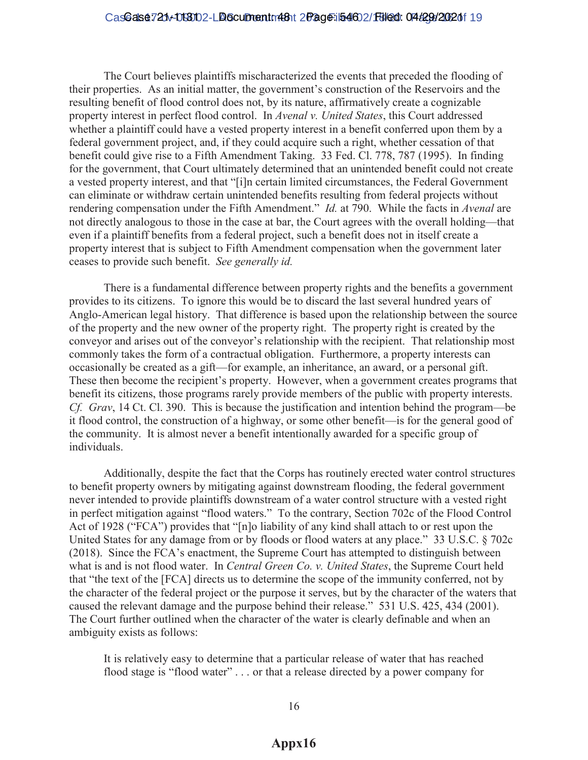# CasGalse721v-0130102-LB6cumentm481t 2Page-i54602/18/200: 04 4294 2002 0f 19

The Court believes plaintiffs mischaracterized the events that preceded the flooding of their properties. As an initial matter, the government's construction of the Reservoirs and the resulting benefit of flood control does not, by its nature, affirmatively create a cognizable property interest in perfect flood control. In *Avenal v. United States*, this Court addressed whether a plaintiff could have a vested property interest in a benefit conferred upon them by a federal government project, and, if they could acquire such a right, whether cessation of that benefit could give rise to a Fifth Amendment Taking. 33 Fed. Cl. 778, 787 (1995). In finding for the government, that Court ultimately determined that an unintended benefit could not create a vested property interest, and that "[i]n certain limited circumstances, the Federal Government can eliminate or withdraw certain unintended benefits resulting from federal projects without rendering compensation under the Fifth Amendment." *Id.* at 790. While the facts in *Avenal* are not directly analogous to those in the case at bar, the Court agrees with the overall holding—that even if a plaintiff benefits from a federal project, such a benefit does not in itself create a property interest that is subject to Fifth Amendment compensation when the government later ceases to provide such benefit. *See generally id.*

There is a fundamental difference between property rights and the benefits a government provides to its citizens. To ignore this would be to discard the last several hundred years of Anglo-American legal history. That difference is based upon the relationship between the source of the property and the new owner of the property right. The property right is created by the conveyor and arises out of the conveyor's relationship with the recipient. That relationship most commonly takes the form of a contractual obligation. Furthermore, a property interests can occasionally be created as a gift—for example, an inheritance, an award, or a personal gift. These then become the recipient's property. However, when a government creates programs that benefit its citizens, those programs rarely provide members of the public with property interests. *Cf. Grav*, 14 Ct. Cl. 390. This is because the justification and intention behind the program—be it flood control, the construction of a highway, or some other benefit—is for the general good of the community. It is almost never a benefit intentionally awarded for a specific group of individuals.

Additionally, despite the fact that the Corps has routinely erected water control structures to benefit property owners by mitigating against downstream flooding, the federal government never intended to provide plaintiffs downstream of a water control structure with a vested right in perfect mitigation against "flood waters." To the contrary, Section 702c of the Flood Control Act of 1928 ("FCA") provides that "[n]o liability of any kind shall attach to or rest upon the United States for any damage from or by floods or flood waters at any place." 33 U.S.C.  $\S$  702c (2018). Since the FCA's enactment, the Supreme Court has attempted to distinguish between what is and is not flood water. In *Central Green Co. v. United States*, the Supreme Court held that "the text of the [FCA] directs us to determine the scope of the immunity conferred, not by the character of the federal project or the purpose it serves, but by the character of the waters that caused the relevant damage and the purpose behind their release."  $531$  U.S. 425, 434 (2001). The Court further outlined when the character of the water is clearly definable and when an ambiguity exists as follows:

It is relatively easy to determine that a particular release of water that has reached flood stage is "flood water"  $\ldots$  or that a release directed by a power company for

# **Appx16**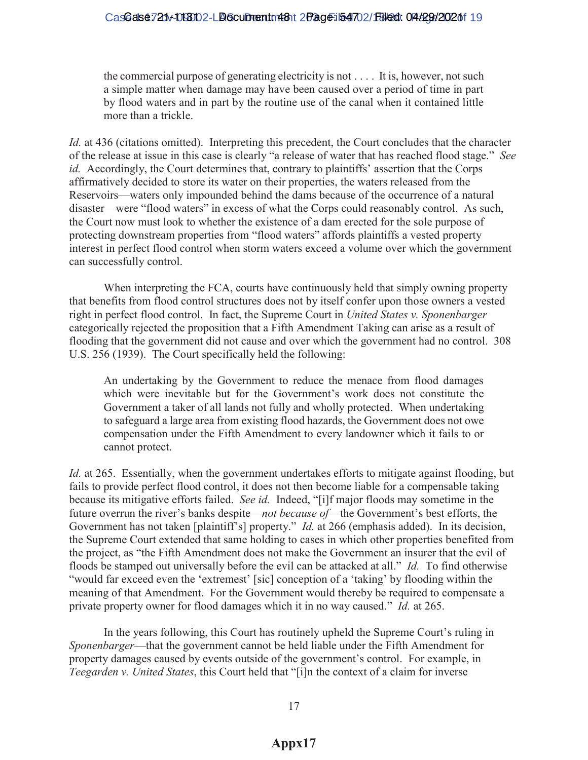the commercial purpose of generating electricity is not . . . . It is, however, not such a simple matter when damage may have been caused over a period of time in part by flood waters and in part by the routine use of the canal when it contained little more than a trickle.

*Id.* at 436 (citations omitted). Interpreting this precedent, the Court concludes that the character of the release at issue in this case is clearly "a release of water that has reached flood stage." See *id.* Accordingly, the Court determines that, contrary to plaintiffs' assertion that the Corps affirmatively decided to store its water on their properties, the waters released from the Reservoirs—waters only impounded behind the dams because of the occurrence of a natural disaster—were "flood waters" in excess of what the Corps could reasonably control. As such, the Court now must look to whether the existence of a dam erected for the sole purpose of protecting downstream properties from "flood waters" affords plaintiffs a vested property interest in perfect flood control when storm waters exceed a volume over which the government can successfully control.

When interpreting the FCA, courts have continuously held that simply owning property that benefits from flood control structures does not by itself confer upon those owners a vested right in perfect flood control. In fact, the Supreme Court in *United States v. Sponenbarger* categorically rejected the proposition that a Fifth Amendment Taking can arise as a result of flooding that the government did not cause and over which the government had no control. 308 U.S. 256 (1939). The Court specifically held the following:

An undertaking by the Government to reduce the menace from flood damages which were inevitable but for the Government's work does not constitute the Government a taker of all lands not fully and wholly protected. When undertaking to safeguard a large area from existing flood hazards, the Government does not owe compensation under the Fifth Amendment to every landowner which it fails to or cannot protect.

*Id.* at 265. Essentially, when the government undertakes efforts to mitigate against flooding, but fails to provide perfect flood control, it does not then become liable for a compensable taking because its mitigative efforts failed. *See id.* Indeed, "[i]f major floods may sometime in the future overrun the river's banks despite—*not because of*—the Government's best efforts, the Government has not taken [plaintiff's] property." *Id.* at 266 (emphasis added). In its decision, the Supreme Court extended that same holding to cases in which other properties benefited from the project, as "the Fifth Amendment does not make the Government an insurer that the evil of floods be stamped out universally before the evil can be attacked at all." *Id.* To find otherwise "would far exceed even the 'extremest' [sic] conception of a 'taking' by flooding within the meaning of that Amendment. For the Government would thereby be required to compensate a private property owner for flood damages which it in no way caused.´*Id.* at 265.

In the years following, this Court has routinely upheld the Supreme Court's ruling in *Sponenbarger*—that the government cannot be held liable under the Fifth Amendment for property damages caused by events outside of the government's control. For example, in *Teegarden v. United States*, this Court held that "[i]n the context of a claim for inverse

17

# **Appx17**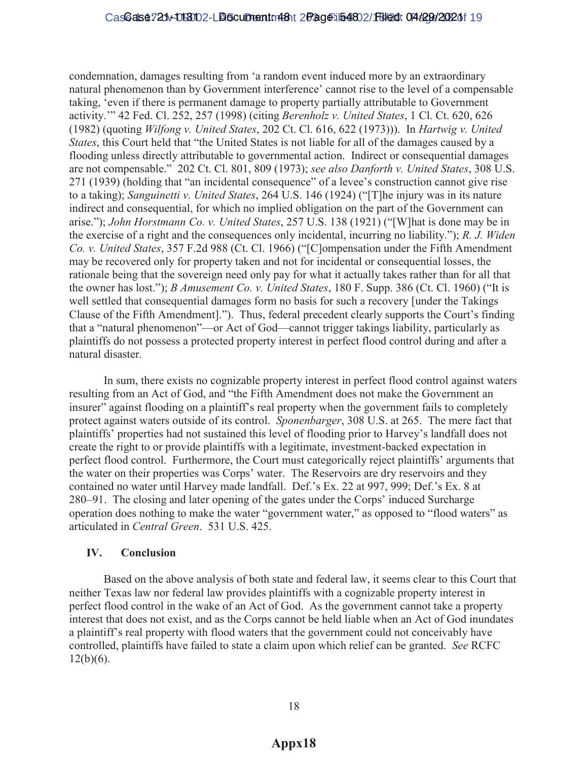condemnation, damages resulting from 'a random event induced more by an extraordinary natural phenomenon than by Government interference' cannot rise to the level of a compensable taking, 'even if there is permanent damage to property partially attributable to Government activity." 42 Fed. Cl. 252, 257 (1998) (citing *Berenholz v. United States*, 1 Cl. Ct. 620, 626 (1982) (quoting *Wilfong v. United States*, 202 Ct. Cl. 616, 622 (1973))). In *Hartwig v. United States*, this Court held that "the United States is not liable for all of the damages caused by a flooding unless directly attributable to governmental action. Indirect or consequential damages are not compensable." 202 Ct. Cl. 801, 809 (1973); see also Danforth v. United States, 308 U.S. 271 (1939) (holding that "an incidental consequence" of a levee's construction cannot give rise to a taking); *Sanguinetti v. United States*, 264 U.S. 146 (1924) ("The injury was in its nature indirect and consequential, for which no implied obligation on the part of the Government can arise."); *John Horstmann Co. v. United States*, 257 U.S. 138 (1921) ("[W] hat is done may be in the exercise of a right and the consequences only incidental, incurring no liability."); *R. J. Widen Co. v. United States*, 357 F.2d 988 (Ct. Cl. 1966) ("[C]ompensation under the Fifth Amendment may be recovered only for property taken and not for incidental or consequential losses, the rationale being that the sovereign need only pay for what it actually takes rather than for all that the owner has lost."); *B Amusement Co. v. United States*, 180 F. Supp. 386 (Ct. Cl. 1960) ("It is well settled that consequential damages form no basis for such a recovery [under the Takings Clause of the Fifth Amendment]."). Thus, federal precedent clearly supports the Court's finding that a "natural phenomenon"—or Act of God—cannot trigger takings liability, particularly as plaintiffs do not possess a protected property interest in perfect flood control during and after a natural disaster.

In sum, there exists no cognizable property interest in perfect flood control against waters resulting from an Act of God, and "the Fifth Amendment does not make the Government an insurer" against flooding on a plaintiff's real property when the government fails to completely protect against waters outside of its control. *Sponenbarger*, 308 U.S. at 265. The mere fact that plaintiffs' properties had not sustained this level of flooding prior to Harvey's landfall does not create the right to or provide plaintiffs with a legitimate, investment-backed expectation in perfect flood control. Furthermore, the Court must categorically reject plaintiffs' arguments that the water on their properties was Corps' water. The Reservoirs are dry reservoirs and they contained no water until Harvey made landfall. Def.'s Ex. 22 at 997, 999; Def.'s Ex. 8 at 280–91. The closing and later opening of the gates under the Corps' induced Surcharge operation does nothing to make the water "government water," as opposed to "flood waters" as articulated in *Central Green*. 531 U.S. 425.

# **IV. Conclusion**

Based on the above analysis of both state and federal law, it seems clear to this Court that neither Texas law nor federal law provides plaintiffs with a cognizable property interest in perfect flood control in the wake of an Act of God. As the government cannot take a property interest that does not exist, and as the Corps cannot be held liable when an Act of God inundates a plaintiff's real property with flood waters that the government could not conceivably have controlled, plaintiffs have failed to state a claim upon which relief can be granted. *See* RCFC  $12(b)(6)$ .